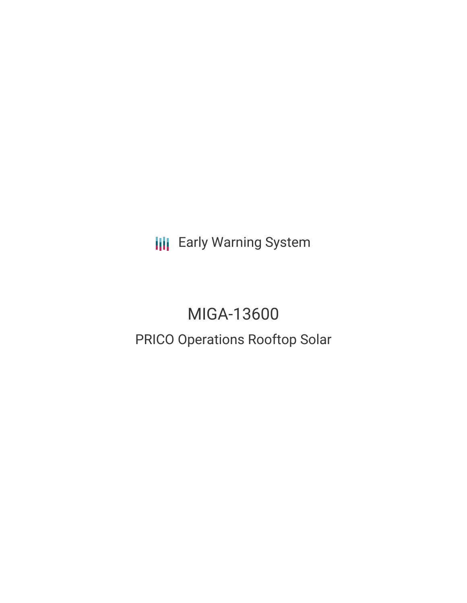**III** Early Warning System

# MIGA-13600 PRICO Operations Rooftop Solar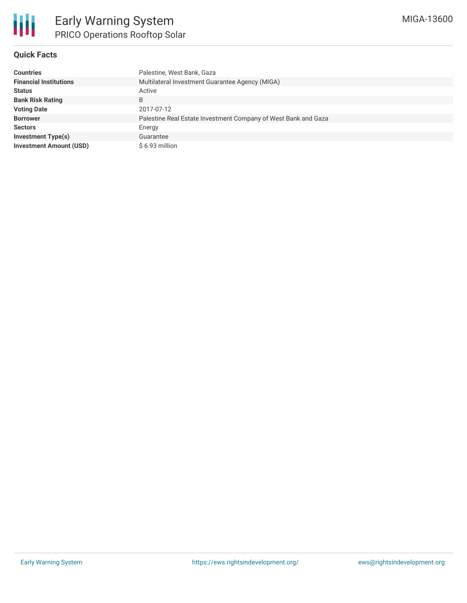## **Quick Facts**

| <b>Countries</b>               | Palestine, West Bank, Gaza                                     |
|--------------------------------|----------------------------------------------------------------|
| <b>Financial Institutions</b>  | Multilateral Investment Guarantee Agency (MIGA)                |
| <b>Status</b>                  | Active                                                         |
| <b>Bank Risk Rating</b>        | B                                                              |
| <b>Voting Date</b>             | 2017-07-12                                                     |
| <b>Borrower</b>                | Palestine Real Estate Investment Company of West Bank and Gaza |
| <b>Sectors</b>                 | Energy                                                         |
| <b>Investment Type(s)</b>      | Guarantee                                                      |
| <b>Investment Amount (USD)</b> | \$6.93 million                                                 |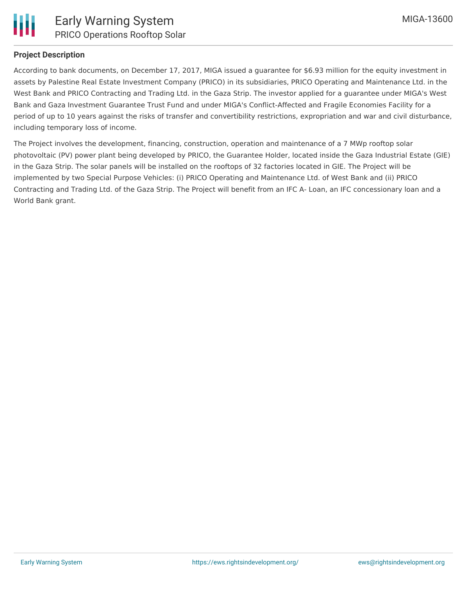

# **Project Description**

According to bank documents, on December 17, 2017, MIGA issued a guarantee for \$6.93 million for the equity investment in assets by Palestine Real Estate Investment Company (PRICO) in its subsidiaries, PRICO Operating and Maintenance Ltd. in the West Bank and PRICO Contracting and Trading Ltd. in the Gaza Strip. The investor applied for a guarantee under MIGA's West Bank and Gaza Investment Guarantee Trust Fund and under MIGA's Conflict-Affected and Fragile Economies Facility for a period of up to 10 years against the risks of transfer and convertibility restrictions, expropriation and war and civil disturbance, including temporary loss of income.

The Project involves the development, financing, construction, operation and maintenance of a 7 MWp rooftop solar photovoltaic (PV) power plant being developed by PRICO, the Guarantee Holder, located inside the Gaza Industrial Estate (GIE) in the Gaza Strip. The solar panels will be installed on the rooftops of 32 factories located in GIE. The Project will be implemented by two Special Purpose Vehicles: (i) PRICO Operating and Maintenance Ltd. of West Bank and (ii) PRICO Contracting and Trading Ltd. of the Gaza Strip. The Project will benefit from an IFC A- Loan, an IFC concessionary loan and a World Bank grant.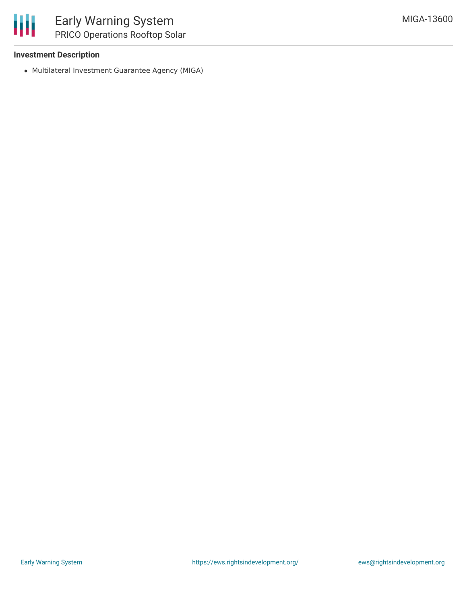

# **Investment Description**

Multilateral Investment Guarantee Agency (MIGA)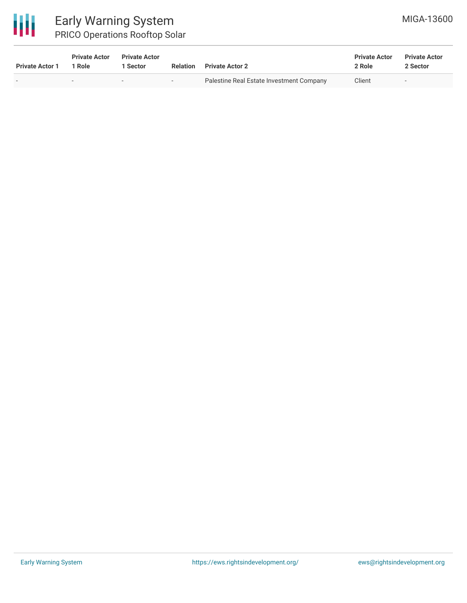

# Early Warning System PRICO Operations Rooftop Solar

| <b>Private Actor 1</b>   | <b>Private Actor</b><br>1 Role | <b>Private Actor</b><br>Sector | <b>Relation</b> | <b>Private Actor 2</b>                   | <b>Private Actor</b><br>2 Role | <b>Private Actor</b><br>2 Sector |  |
|--------------------------|--------------------------------|--------------------------------|-----------------|------------------------------------------|--------------------------------|----------------------------------|--|
| $\overline{\phantom{0}}$ |                                | $\overline{\phantom{a}}$       | $\sim$          | Palestine Real Estate Investment Company | Client                         | $\overline{\phantom{a}}$         |  |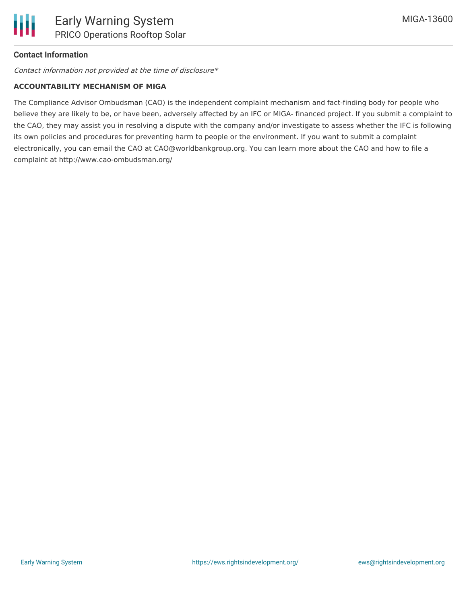# **Contact Information**

Contact information not provided at the time of disclosure\*

#### **ACCOUNTABILITY MECHANISM OF MIGA**

The Compliance Advisor Ombudsman (CAO) is the independent complaint mechanism and fact-finding body for people who believe they are likely to be, or have been, adversely affected by an IFC or MIGA- financed project. If you submit a complaint to the CAO, they may assist you in resolving a dispute with the company and/or investigate to assess whether the IFC is following its own policies and procedures for preventing harm to people or the environment. If you want to submit a complaint electronically, you can email the CAO at CAO@worldbankgroup.org. You can learn more about the CAO and how to file a complaint at http://www.cao-ombudsman.org/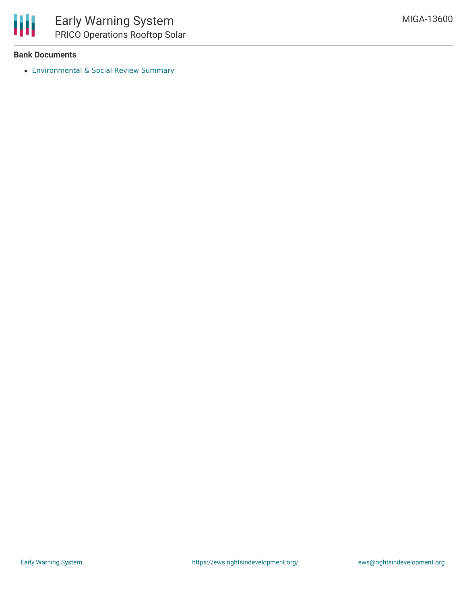

## **Bank Documents**

[Environmental](https://disclosures.ifc.org/#/projectDetail/ESRS/38674) & Social Review Summary